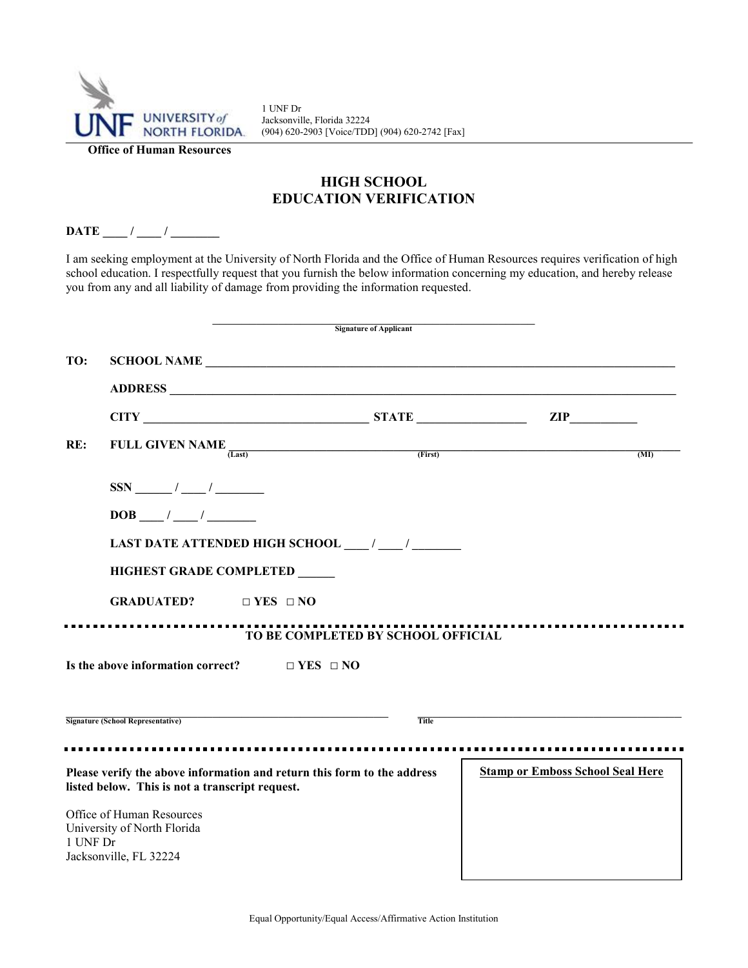

1 UNF Dr Jacksonville, Florida 32224 (904) 620-2903 [Voice/TDD] (904) 620-2742 [Fax]

## **HIGH SCHOOL EDUCATION VERIFICATION**

## **DATE** / /

I am seeking employment at the University of North Florida and the Office of Human Resources requires verification of high school education. I respectfully request that you furnish the below information concerning my education, and hereby release you from any and all liability of damage from providing the information requested.

|          |                                                                                                                                                                   | <b>Signature of Applicant</b>      |                                         |  |  |
|----------|-------------------------------------------------------------------------------------------------------------------------------------------------------------------|------------------------------------|-----------------------------------------|--|--|
| TO:      | SCHOOL NAME                                                                                                                                                       |                                    |                                         |  |  |
|          |                                                                                                                                                                   |                                    |                                         |  |  |
|          | $CITY$ $ZIP$ $ZIP$                                                                                                                                                |                                    |                                         |  |  |
| RE:      | FULL GIVEN NAME $\frac{1}{(Last)}$ (First)                                                                                                                        |                                    | (MI)                                    |  |  |
|          |                                                                                                                                                                   |                                    |                                         |  |  |
|          | $DOB$ $\qquad$ / $\qquad$ /                                                                                                                                       |                                    |                                         |  |  |
|          |                                                                                                                                                                   |                                    |                                         |  |  |
|          | <b>HIGHEST GRADE COMPLETED</b>                                                                                                                                    |                                    |                                         |  |  |
|          | <b>GRADUATED?</b> $\Box$ YES $\Box$ NO                                                                                                                            |                                    |                                         |  |  |
|          |                                                                                                                                                                   | TO BE COMPLETED BY SCHOOL OFFICIAL |                                         |  |  |
|          | Is the above information correct? $\Box$ YES $\Box$ NO                                                                                                            |                                    |                                         |  |  |
|          | <u> 1989 - Johann Johann Stoff, deutscher Stoffen und der Stoffen und der Stoffen und der Stoffen und der Stoffen</u><br><b>Signature (School Representative)</b> | <b>Title</b>                       |                                         |  |  |
|          |                                                                                                                                                                   |                                    |                                         |  |  |
|          | Please verify the above information and return this form to the address<br>listed below. This is not a transcript request.                                        |                                    | <b>Stamp or Emboss School Seal Here</b> |  |  |
| 1 UNF Dr | Office of Human Resources<br>University of North Florida<br>Jacksonville, FL 32224                                                                                |                                    |                                         |  |  |

a l